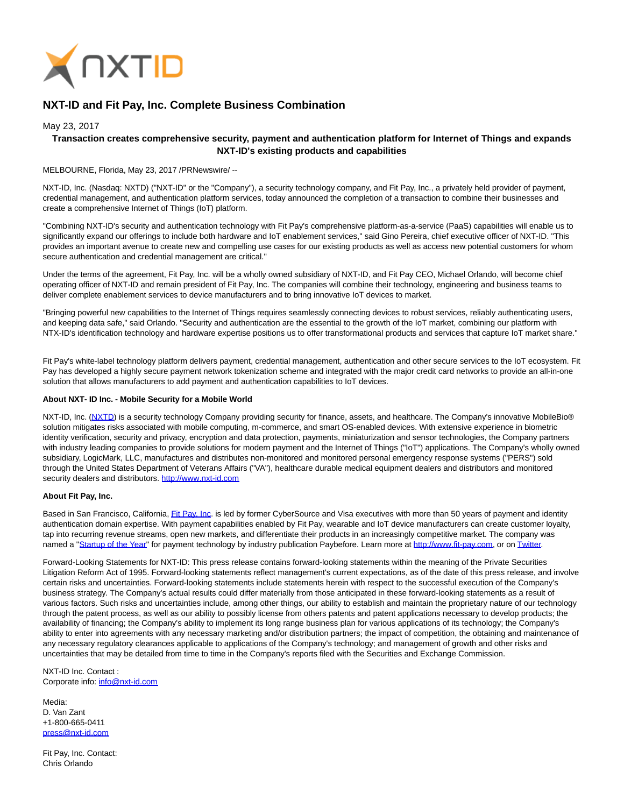

# **NXT-ID and Fit Pay, Inc. Complete Business Combination**

## May 23, 2017

## **Transaction creates comprehensive security, payment and authentication platform for Internet of Things and expands NXT-ID's existing products and capabilities**

MELBOURNE, Florida, May 23, 2017 /PRNewswire/ --

NXT-ID, Inc. (Nasdaq: NXTD) ("NXT-ID" or the "Company"), a security technology company, and Fit Pay, Inc., a privately held provider of payment, credential management, and authentication platform services, today announced the completion of a transaction to combine their businesses and create a comprehensive Internet of Things (IoT) platform.

"Combining NXT-ID's security and authentication technology with Fit Pay's comprehensive platform-as-a-service (PaaS) capabilities will enable us to significantly expand our offerings to include both hardware and IoT enablement services," said Gino Pereira, chief executive officer of NXT-ID. "This provides an important avenue to create new and compelling use cases for our existing products as well as access new potential customers for whom secure authentication and credential management are critical."

Under the terms of the agreement, Fit Pay, Inc. will be a wholly owned subsidiary of NXT-ID, and Fit Pay CEO, Michael Orlando, will become chief operating officer of NXT-ID and remain president of Fit Pay, Inc. The companies will combine their technology, engineering and business teams to deliver complete enablement services to device manufacturers and to bring innovative IoT devices to market.

"Bringing powerful new capabilities to the Internet of Things requires seamlessly connecting devices to robust services, reliably authenticating users, and keeping data safe," said Orlando. "Security and authentication are the essential to the growth of the IoT market, combining our platform with NTX-ID's identification technology and hardware expertise positions us to offer transformational products and services that capture IoT market share."

Fit Pay's white-label technology platform delivers payment, credential management, authentication and other secure services to the IoT ecosystem. Fit Pay has developed a highly secure payment network tokenization scheme and integrated with the major credit card networks to provide an all-in-one solution that allows manufacturers to add payment and authentication capabilities to IoT devices.

#### **About NXT- ID Inc. - Mobile Security for a Mobile World**

NXT-ID, Inc. [\(NXTD\)](https://finance.yahoo.com/q?s=nxtd) is a security technology Company providing security for finance, assets, and healthcare. The Company's innovative MobileBio® solution mitigates risks associated with mobile computing, m-commerce, and smart OS-enabled devices. With extensive experience in biometric identity verification, security and privacy, encryption and data protection, payments, miniaturization and sensor technologies, the Company partners with industry leading companies to provide solutions for modern payment and the Internet of Things ("IoT") applications. The Company's wholly owned subsidiary, LogicMark, LLC, manufactures and distributes non-monitored and monitored personal emergency response systems ("PERS") sold through the United States Department of Veterans Affairs ("VA"), healthcare durable medical equipment dealers and distributors and monitored security dealers and distributors[. http://www.nxt-id.com](http://www.nxt-id.com/)

### **About Fit Pay, Inc.**

Based in San Francisco, California[, Fit Pay, Inc.](http://www.fit-pay.com/) is led by former CyberSource and Visa executives with more than 50 years of payment and identity authentication domain expertise. With payment capabilities enabled by Fit Pay, wearable and IoT device manufacturers can create customer loyalty, tap into recurring revenue streams, open new markets, and differentiate their products in an increasingly competitive market. The company was named a ["Startup of the Year"](http://paybefore.com/top-stories/paybefore-reveals-2017-pay-awards-winners/) for payment technology by industry publication Paybefore. Learn more at [http://www.fit-pay.com,](http://www.fit-pay.com/) or on [Twitter.](https://twitter.com/FitPayInc)

Forward-Looking Statements for NXT-ID: This press release contains forward-looking statements within the meaning of the Private Securities Litigation Reform Act of 1995. Forward-looking statements reflect management's current expectations, as of the date of this press release, and involve certain risks and uncertainties. Forward-looking statements include statements herein with respect to the successful execution of the Company's business strategy. The Company's actual results could differ materially from those anticipated in these forward-looking statements as a result of various factors. Such risks and uncertainties include, among other things, our ability to establish and maintain the proprietary nature of our technology through the patent process, as well as our ability to possibly license from others patents and patent applications necessary to develop products; the availability of financing; the Company's ability to implement its long range business plan for various applications of its technology; the Company's ability to enter into agreements with any necessary marketing and/or distribution partners; the impact of competition, the obtaining and maintenance of any necessary regulatory clearances applicable to applications of the Company's technology; and management of growth and other risks and uncertainties that may be detailed from time to time in the Company's reports filed with the Securities and Exchange Commission.

NXT-ID Inc. Contact : Corporate info: [info@nxt-id.com](mailto:info@nxt-id.com)

Media: D. Van Zant +1-800-665-0411 [press@nxt-id.com](mailto:press@nxt-id.com)

Fit Pay, Inc. Contact: Chris Orlando